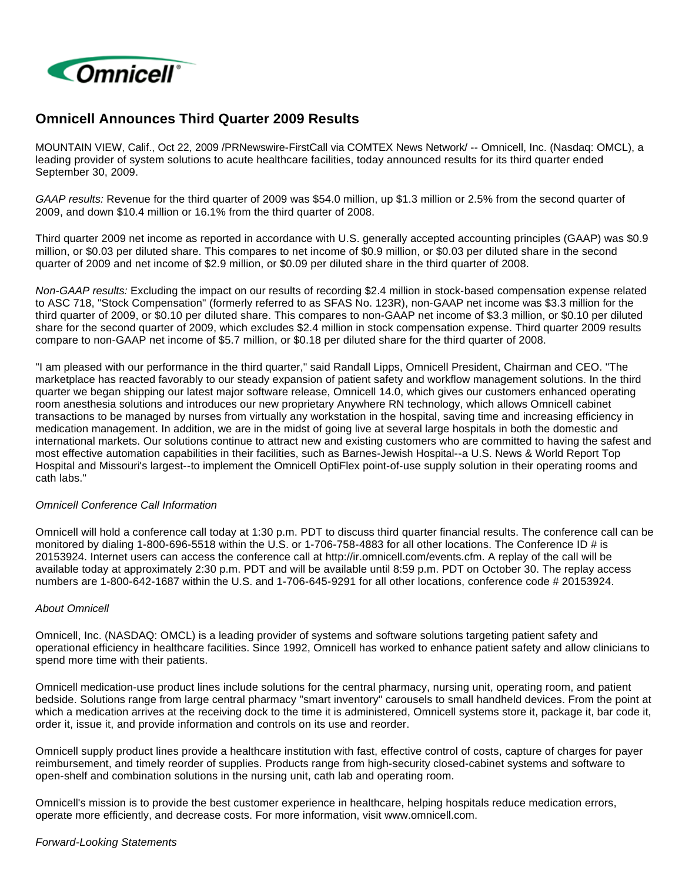

# **Omnicell Announces Third Quarter 2009 Results**

MOUNTAIN VIEW, Calif., Oct 22, 2009 /PRNewswire-FirstCall via COMTEX News Network/ -- Omnicell, Inc. (Nasdaq: OMCL), a leading provider of system solutions to acute healthcare facilities, today announced results for its third quarter ended September 30, 2009.

GAAP results: Revenue for the third quarter of 2009 was \$54.0 million, up \$1.3 million or 2.5% from the second quarter of 2009, and down \$10.4 million or 16.1% from the third quarter of 2008.

Third quarter 2009 net income as reported in accordance with U.S. generally accepted accounting principles (GAAP) was \$0.9 million, or \$0.03 per diluted share. This compares to net income of \$0.9 million, or \$0.03 per diluted share in the second quarter of 2009 and net income of \$2.9 million, or \$0.09 per diluted share in the third quarter of 2008.

Non-GAAP results: Excluding the impact on our results of recording \$2.4 million in stock-based compensation expense related to ASC 718, "Stock Compensation" (formerly referred to as SFAS No. 123R), non-GAAP net income was \$3.3 million for the third quarter of 2009, or \$0.10 per diluted share. This compares to non-GAAP net income of \$3.3 million, or \$0.10 per diluted share for the second quarter of 2009, which excludes \$2.4 million in stock compensation expense. Third quarter 2009 results compare to non-GAAP net income of \$5.7 million, or \$0.18 per diluted share for the third quarter of 2008.

"I am pleased with our performance in the third quarter," said Randall Lipps, Omnicell President, Chairman and CEO. "The marketplace has reacted favorably to our steady expansion of patient safety and workflow management solutions. In the third quarter we began shipping our latest major software release, Omnicell 14.0, which gives our customers enhanced operating room anesthesia solutions and introduces our new proprietary Anywhere RN technology, which allows Omnicell cabinet transactions to be managed by nurses from virtually any workstation in the hospital, saving time and increasing efficiency in medication management. In addition, we are in the midst of going live at several large hospitals in both the domestic and international markets. Our solutions continue to attract new and existing customers who are committed to having the safest and most effective automation capabilities in their facilities, such as Barnes-Jewish Hospital--a U.S. News & World Report Top Hospital and Missouri's largest--to implement the Omnicell OptiFlex point-of-use supply solution in their operating rooms and cath labs."

## Omnicell Conference Call Information

Omnicell will hold a conference call today at 1:30 p.m. PDT to discuss third quarter financial results. The conference call can be monitored by dialing 1-800-696-5518 within the U.S. or 1-706-758-4883 for all other locations. The Conference ID # is 20153924. Internet users can access the conference call at http://ir.omnicell.com/events.cfm. A replay of the call will be available today at approximately 2:30 p.m. PDT and will be available until 8:59 p.m. PDT on October 30. The replay access numbers are 1-800-642-1687 within the U.S. and 1-706-645-9291 for all other locations, conference code # 20153924.

## About Omnicell

Omnicell, Inc. (NASDAQ: OMCL) is a leading provider of systems and software solutions targeting patient safety and operational efficiency in healthcare facilities. Since 1992, Omnicell has worked to enhance patient safety and allow clinicians to spend more time with their patients.

Omnicell medication-use product lines include solutions for the central pharmacy, nursing unit, operating room, and patient bedside. Solutions range from large central pharmacy "smart inventory" carousels to small handheld devices. From the point at which a medication arrives at the receiving dock to the time it is administered, Omnicell systems store it, package it, bar code it, order it, issue it, and provide information and controls on its use and reorder.

Omnicell supply product lines provide a healthcare institution with fast, effective control of costs, capture of charges for payer reimbursement, and timely reorder of supplies. Products range from high-security closed-cabinet systems and software to open-shelf and combination solutions in the nursing unit, cath lab and operating room.

Omnicell's mission is to provide the best customer experience in healthcare, helping hospitals reduce medication errors, operate more efficiently, and decrease costs. For more information, visit www.omnicell.com.

#### Forward-Looking Statements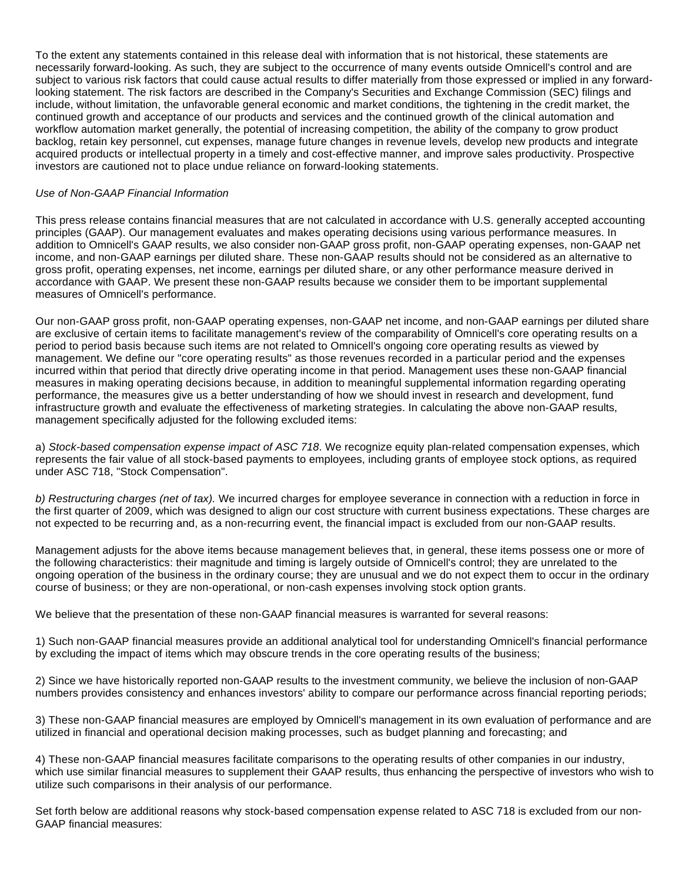To the extent any statements contained in this release deal with information that is not historical, these statements are necessarily forward-looking. As such, they are subject to the occurrence of many events outside Omnicell's control and are subject to various risk factors that could cause actual results to differ materially from those expressed or implied in any forwardlooking statement. The risk factors are described in the Company's Securities and Exchange Commission (SEC) filings and include, without limitation, the unfavorable general economic and market conditions, the tightening in the credit market, the continued growth and acceptance of our products and services and the continued growth of the clinical automation and workflow automation market generally, the potential of increasing competition, the ability of the company to grow product backlog, retain key personnel, cut expenses, manage future changes in revenue levels, develop new products and integrate acquired products or intellectual property in a timely and cost-effective manner, and improve sales productivity. Prospective investors are cautioned not to place undue reliance on forward-looking statements.

### Use of Non-GAAP Financial Information

This press release contains financial measures that are not calculated in accordance with U.S. generally accepted accounting principles (GAAP). Our management evaluates and makes operating decisions using various performance measures. In addition to Omnicell's GAAP results, we also consider non-GAAP gross profit, non-GAAP operating expenses, non-GAAP net income, and non-GAAP earnings per diluted share. These non-GAAP results should not be considered as an alternative to gross profit, operating expenses, net income, earnings per diluted share, or any other performance measure derived in accordance with GAAP. We present these non-GAAP results because we consider them to be important supplemental measures of Omnicell's performance.

Our non-GAAP gross profit, non-GAAP operating expenses, non-GAAP net income, and non-GAAP earnings per diluted share are exclusive of certain items to facilitate management's review of the comparability of Omnicell's core operating results on a period to period basis because such items are not related to Omnicell's ongoing core operating results as viewed by management. We define our "core operating results" as those revenues recorded in a particular period and the expenses incurred within that period that directly drive operating income in that period. Management uses these non-GAAP financial measures in making operating decisions because, in addition to meaningful supplemental information regarding operating performance, the measures give us a better understanding of how we should invest in research and development, fund infrastructure growth and evaluate the effectiveness of marketing strategies. In calculating the above non-GAAP results, management specifically adjusted for the following excluded items:

a) Stock-based compensation expense impact of ASC 718. We recognize equity plan-related compensation expenses, which represents the fair value of all stock-based payments to employees, including grants of employee stock options, as required under ASC 718, "Stock Compensation".

b) Restructuring charges (net of tax). We incurred charges for employee severance in connection with a reduction in force in the first quarter of 2009, which was designed to align our cost structure with current business expectations. These charges are not expected to be recurring and, as a non-recurring event, the financial impact is excluded from our non-GAAP results.

Management adjusts for the above items because management believes that, in general, these items possess one or more of the following characteristics: their magnitude and timing is largely outside of Omnicell's control; they are unrelated to the ongoing operation of the business in the ordinary course; they are unusual and we do not expect them to occur in the ordinary course of business; or they are non-operational, or non-cash expenses involving stock option grants.

We believe that the presentation of these non-GAAP financial measures is warranted for several reasons:

1) Such non-GAAP financial measures provide an additional analytical tool for understanding Omnicell's financial performance by excluding the impact of items which may obscure trends in the core operating results of the business;

2) Since we have historically reported non-GAAP results to the investment community, we believe the inclusion of non-GAAP numbers provides consistency and enhances investors' ability to compare our performance across financial reporting periods;

3) These non-GAAP financial measures are employed by Omnicell's management in its own evaluation of performance and are utilized in financial and operational decision making processes, such as budget planning and forecasting; and

4) These non-GAAP financial measures facilitate comparisons to the operating results of other companies in our industry, which use similar financial measures to supplement their GAAP results, thus enhancing the perspective of investors who wish to utilize such comparisons in their analysis of our performance.

Set forth below are additional reasons why stock-based compensation expense related to ASC 718 is excluded from our non-GAAP financial measures: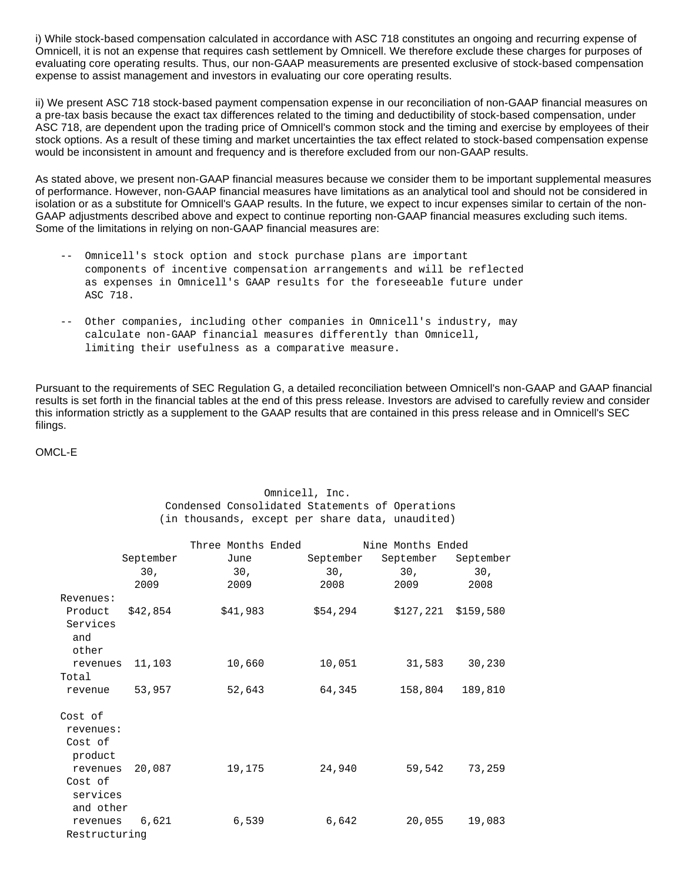i) While stock-based compensation calculated in accordance with ASC 718 constitutes an ongoing and recurring expense of Omnicell, it is not an expense that requires cash settlement by Omnicell. We therefore exclude these charges for purposes of evaluating core operating results. Thus, our non-GAAP measurements are presented exclusive of stock-based compensation expense to assist management and investors in evaluating our core operating results.

ii) We present ASC 718 stock-based payment compensation expense in our reconciliation of non-GAAP financial measures on a pre-tax basis because the exact tax differences related to the timing and deductibility of stock-based compensation, under ASC 718, are dependent upon the trading price of Omnicell's common stock and the timing and exercise by employees of their stock options. As a result of these timing and market uncertainties the tax effect related to stock-based compensation expense would be inconsistent in amount and frequency and is therefore excluded from our non-GAAP results.

As stated above, we present non-GAAP financial measures because we consider them to be important supplemental measures of performance. However, non-GAAP financial measures have limitations as an analytical tool and should not be considered in isolation or as a substitute for Omnicell's GAAP results. In the future, we expect to incur expenses similar to certain of the non-GAAP adjustments described above and expect to continue reporting non-GAAP financial measures excluding such items. Some of the limitations in relying on non-GAAP financial measures are:

- -- Omnicell's stock option and stock purchase plans are important components of incentive compensation arrangements and will be reflected as expenses in Omnicell's GAAP results for the foreseeable future under ASC 718.
- -- Other companies, including other companies in Omnicell's industry, may calculate non-GAAP financial measures differently than Omnicell, limiting their usefulness as a comparative measure.

Pursuant to the requirements of SEC Regulation G, a detailed reconciliation between Omnicell's non-GAAP and GAAP financial results is set forth in the financial tables at the end of this press release. Investors are advised to carefully review and consider this information strictly as a supplement to the GAAP results that are contained in this press release and in Omnicell's SEC filings.

OMCL-E

## Omnicell, Inc. Condensed Consolidated Statements of Operations (in thousands, except per share data, unaudited)

|               |                 | Three Months Ended |                 | Nine Months Ended |                 |
|---------------|-----------------|--------------------|-----------------|-------------------|-----------------|
|               | September       | June               | September       | September         | September       |
|               | 30 <sub>1</sub> | 30,                | 30 <sub>r</sub> | 30,               | 30 <sub>1</sub> |
|               | 2009            | 2009               | 2008            | 2009              | 2008            |
| Revenues:     |                 |                    |                 |                   |                 |
| Product       | \$42,854        | \$41,983           | \$54,294        | \$127,221         | \$159,580       |
| Services      |                 |                    |                 |                   |                 |
| and           |                 |                    |                 |                   |                 |
| other         |                 |                    |                 |                   |                 |
| revenues      | 11,103          | 10,660             | 10,051          | 31,583            | 30,230          |
| Total         |                 |                    |                 |                   |                 |
| revenue       | 53,957          | 52,643             | 64,345          | 158,804           | 189,810         |
| Cost of       |                 |                    |                 |                   |                 |
| revenues:     |                 |                    |                 |                   |                 |
| Cost of       |                 |                    |                 |                   |                 |
| product       |                 |                    |                 |                   |                 |
| revenues      | 20,087          | 19,175             | 24,940          | 59,542            | 73,259          |
| Cost of       |                 |                    |                 |                   |                 |
| services      |                 |                    |                 |                   |                 |
| and other     |                 |                    |                 |                   |                 |
| revenues      | 6,621           | 6,539              | 6,642           | 20,055            | 19,083          |
| Restructuring |                 |                    |                 |                   |                 |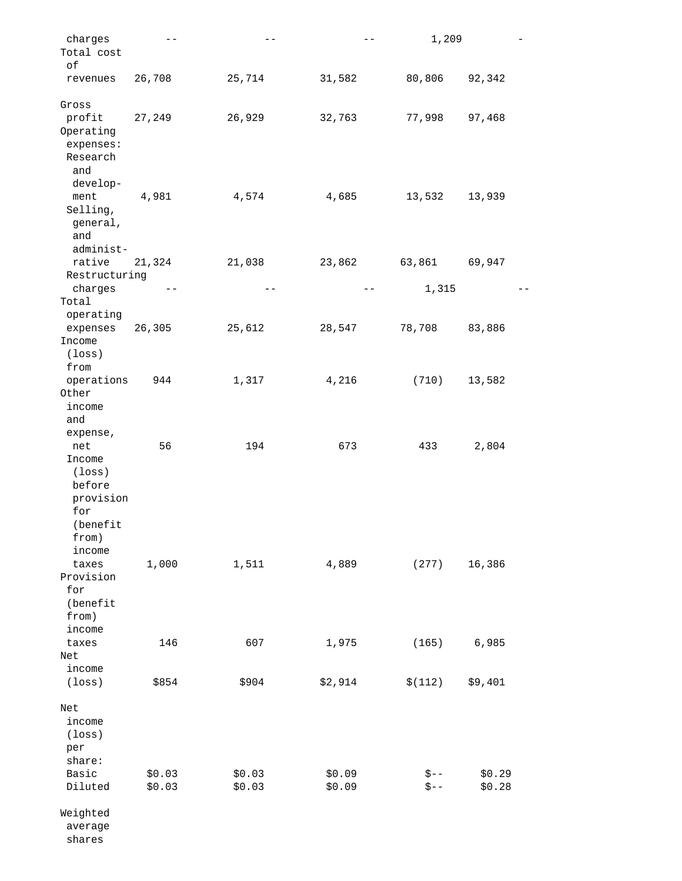| charges               | $ -$              | $\qquad \qquad -$ | $- -$            | 1,209                |                  |
|-----------------------|-------------------|-------------------|------------------|----------------------|------------------|
| Total cost            |                   |                   |                  |                      |                  |
| οf                    |                   |                   |                  |                      |                  |
| revenues              | 26,708            | 25,714            | 31,582           | 80,806               | 92,342           |
| Gross                 |                   |                   |                  |                      |                  |
| profit                | 27,249            | 26,929            | 32,763           | 77,998               | 97,468           |
| Operating             |                   |                   |                  |                      |                  |
| expenses:             |                   |                   |                  |                      |                  |
| Research              |                   |                   |                  |                      |                  |
| and                   |                   |                   |                  |                      |                  |
| develop-<br>ment      |                   |                   | 4,685            |                      | 13,939           |
| Selling,              | 4,981             | 4,574             |                  | 13,532               |                  |
| general,              |                   |                   |                  |                      |                  |
| and                   |                   |                   |                  |                      |                  |
| administ-             |                   |                   |                  |                      |                  |
| rative                | 21,324            | 21,038            | 23,862           | 63,861               | 69,947           |
| Restructuring         |                   |                   |                  |                      |                  |
| charges               | $\qquad \qquad -$ | $- -$             | $- -$            | 1,315                |                  |
| Total                 |                   |                   |                  |                      |                  |
| operating<br>expenses | 26,305            | 25,612            | 28,547           | 78,708               | 83,886           |
| Income                |                   |                   |                  |                      |                  |
| $(\texttt{loss})$     |                   |                   |                  |                      |                  |
| from                  |                   |                   |                  |                      |                  |
| operations            | 944               | 1,317             | 4,216            | (710)                | 13,582           |
| Other                 |                   |                   |                  |                      |                  |
| income                |                   |                   |                  |                      |                  |
| and                   |                   |                   |                  |                      |                  |
| expense,<br>net       | 56                | 194               | 673              | 433                  | 2,804            |
| Income                |                   |                   |                  |                      |                  |
| (loss)                |                   |                   |                  |                      |                  |
| before                |                   |                   |                  |                      |                  |
| provision             |                   |                   |                  |                      |                  |
| for                   |                   |                   |                  |                      |                  |
| (benefit              |                   |                   |                  |                      |                  |
| from)                 |                   |                   |                  |                      |                  |
| income<br>taxes       | 1,000             | 1,511             | 4,889            | (277)                | 16,386           |
| Provision             |                   |                   |                  |                      |                  |
| for                   |                   |                   |                  |                      |                  |
| (benefit              |                   |                   |                  |                      |                  |
| from)                 |                   |                   |                  |                      |                  |
| income                |                   |                   |                  |                      |                  |
| taxes                 | 146               | 607               | 1,975            | (165)                | 6,985            |
| Net                   |                   |                   |                  |                      |                  |
| income                |                   |                   |                  |                      |                  |
| $(\texttt{loss})$     | \$854             | \$904             | \$2,914          | \$(112)              | \$9,401          |
| Net                   |                   |                   |                  |                      |                  |
| income                |                   |                   |                  |                      |                  |
| $(\texttt{loss})$     |                   |                   |                  |                      |                  |
| per                   |                   |                   |                  |                      |                  |
| share:                |                   |                   |                  |                      |                  |
| Basic<br>Diluted      | \$0.03<br>\$0.03  | \$0.03<br>\$0.03  | \$0.09<br>\$0.09 | $\zeta$ – –<br>$$--$ | \$0.29<br>\$0.28 |
|                       |                   |                   |                  |                      |                  |
| Weighted              |                   |                   |                  |                      |                  |
| average               |                   |                   |                  |                      |                  |
| shares                |                   |                   |                  |                      |                  |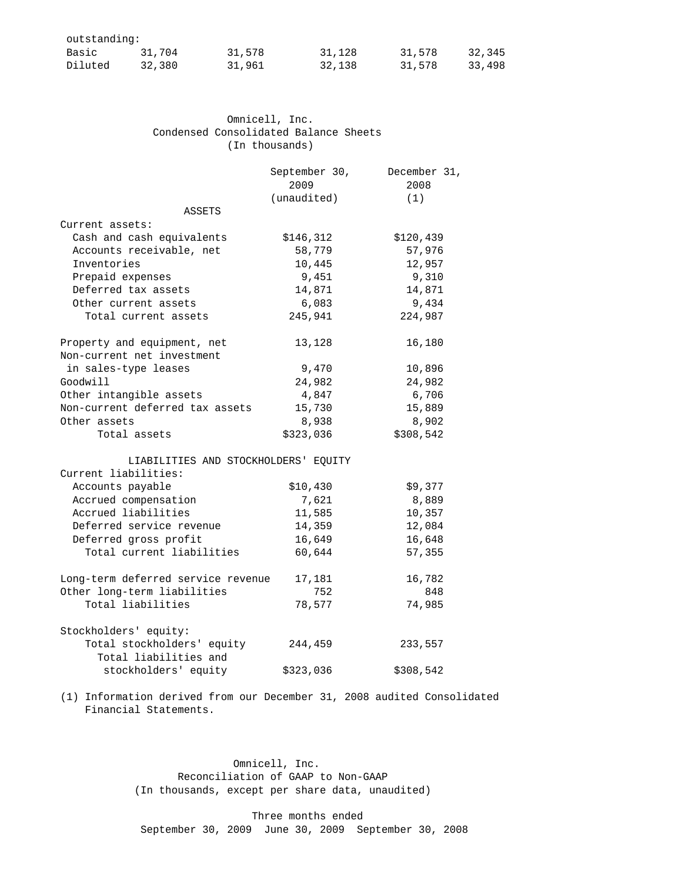| outstanding: |        |        |        |        |        |
|--------------|--------|--------|--------|--------|--------|
| Basic        | 31,704 | 31,578 | 31,128 | 31,578 | 32,345 |
| Diluted      | 32,380 | 31,961 | 32,138 | 31,578 | 33,498 |

| Omnicell, Inc.                        |
|---------------------------------------|
| Condensed Consolidated Balance Sheets |
| (In thousands)                        |

|                                      | September 30, | December 31, |
|--------------------------------------|---------------|--------------|
|                                      | 2009          | 2008         |
|                                      | (unaudited)   | (1)          |
| <b>ASSETS</b>                        |               |              |
| Current assets:                      |               |              |
| Cash and cash equivalents            | \$146,312     | \$120,439    |
| Accounts receivable, net             | 58,779        | 57,976       |
| Inventories                          | 10,445        | 12,957       |
| Prepaid expenses                     | 9,451         | 9,310        |
| Deferred tax assets                  | 14,871        | 14,871       |
| Other current assets                 | 6,083         | 9,434        |
| Total current assets                 | 245,941       | 224,987      |
| Property and equipment, net          | 13,128        | 16,180       |
| Non-current net investment           |               |              |
| in sales-type leases                 | 9,470         | 10,896       |
| Goodwill                             | 24,982        | 24,982       |
| Other intangible assets              | 4,847         | 6,706        |
| Non-current deferred tax assets      | 15,730        | 15,889       |
| Other assets                         | 8,938         | 8,902        |
| Total assets                         | \$323,036     | \$308,542    |
| LIABILITIES AND STOCKHOLDERS' EQUITY |               |              |
| Current liabilities:                 |               |              |
| Accounts payable                     | \$10,430      | \$9,377      |
| Accrued compensation                 | 7,621         | 8,889        |
| Accrued liabilities                  | 11,585        | 10,357       |
| Deferred service revenue             | 14,359        | 12,084       |
| Deferred gross profit                | 16,649        | 16,648       |
| Total current liabilities            | 60,644        | 57,355       |
| Long-term deferred service revenue   | 17,181        | 16,782       |
| Other long-term liabilities          | 752           | 848          |
| Total liabilities                    | 78,577        | 74,985       |
| Stockholders' equity:                |               |              |
| Total stockholders' equity           | 244,459       | 233,557      |
| Total liabilities and                |               |              |
| stockholders' equity                 | \$323,036     | \$308,542    |

 (1) Information derived from our December 31, 2008 audited Consolidated Financial Statements.

> Omnicell, Inc. Reconciliation of GAAP to Non-GAAP (In thousands, except per share data, unaudited)

 Three months ended September 30, 2009 June 30, 2009 September 30, 2008